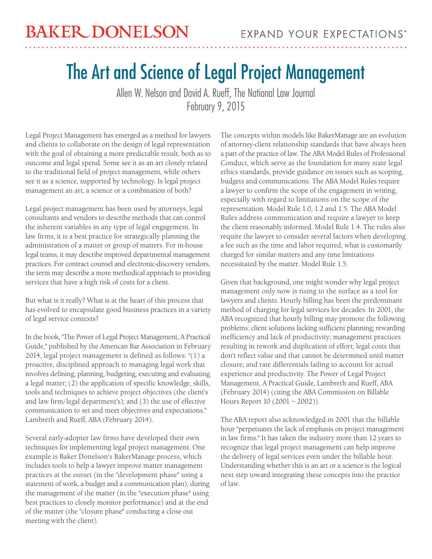## The Art and Science of Legal Project Management

Allen W. Nelson and David A. Rueff, The National Law Journal February 9, 2015

Legal Project Management has emerged as a method for lawyers and clients to collaborate on the design of legal representation with the goal of obtaining a more predictable result, both as to outcome and legal spend. Some see it as an art closely related to the traditional field of project management, while others see it as a science, supported by technology. Is legal project management an art, a science or a combination of both?

Legal project management has been used by attorneys, legal consultants and vendors to describe methods that can control the inherent variables in any type of legal engagement. In law firms, it is a best practice for strategically planning the administration of a matter or group of matters. For in-house legal teams, it may describe improved departmental management practices. For contract counsel and electronic-discovery vendors, the term may describe a more methodical approach to providing services that have a high risk of costs for a client.

But what is it really? What is at the heart of this process that has evolved to encapsulate good business practices in a variety of legal service contexts?

In the book, "The Power of Legal Project Management, A Practical Guide," published by the American Bar Association in February 2014, legal project management is defined as follows: "(1) a proactive, disciplined approach to managing legal work that involves defining, planning, budgeting, executing and evaluating a legal matter; (2) the application of specific knowledge, skills, tools and techniques to achieve project objectives (the client's and law firm/legal department's); and (3) the use of effective communication to set and meet objectives and expectations." Lambreth and Rueff, ABA (February 2014).

Several early-adopter law firms have developed their own techniques for implementing legal project management. One example is Baker Donelson's BakerManage process, which includes tools to help a lawyer improve matter management practices at the outset (in the "development phase" using a statement of work, a budget and a communication plan), during the management of the matter (in the "execution phase" using best practices to closely monitor performance) and at the end of the matter (the "closure phase" conducting a close out meeting with the client).

The concepts within models like BakerManage are an evolution of attorney-client relationship standards that have always been a part of the practice of law. The ABA Model Rules of Professional Conduct, which serve as the foundation for many state legal ethics standards, provide guidance on issues such as scoping, budgets and communications. The ABA Model Rules require a lawyer to confirm the scope of the engagement in writing, especially with regard to limitations on the scope of the representation. Model Rule 1.0, 1.2 and 1.5. The ABA Model Rules address communication and require a lawyer to keep the client reasonably informed. Model Rule 1.4. The rules also require the lawyer to consider several factors when developing a fee such as the time and labor required, what is customarily charged for similar matters and any time limitations necessitated by the matter. Model Rule 1.5.

Given that background, one might wonder why legal project management only now is rising to the surface as a tool for lawyers and clients. Hourly billing has been the predominant method of charging for legal services for decades. In 2001, the ABA recognized that hourly billing may promote the following problems: client solutions lacking sufficient planning; rewarding inefficiency and lack of productivity; management practices resulting in rework and duplication of effort; legal costs that don't reflect value and that cannot be determined until matter closure; and rate differentials failing to account for actual experience and productivity. The Power of Legal Project Management, A Practical Guide, Lambreth and Rueff, ABA (February 2014) (citing the ABA Commission on Billable Hours Report 10 (2001 – 2002)).

The ABA report also acknowledged in 2001 that the billable hour "perpetuates the lack of emphasis on project management in law firms." It has taken the industry more than 12 years to recognize that legal project management can help improve the delivery of legal services even under the billable hour. Understanding whether this is an art or a science is the logical next step toward integrating these concepts into the practice of law.